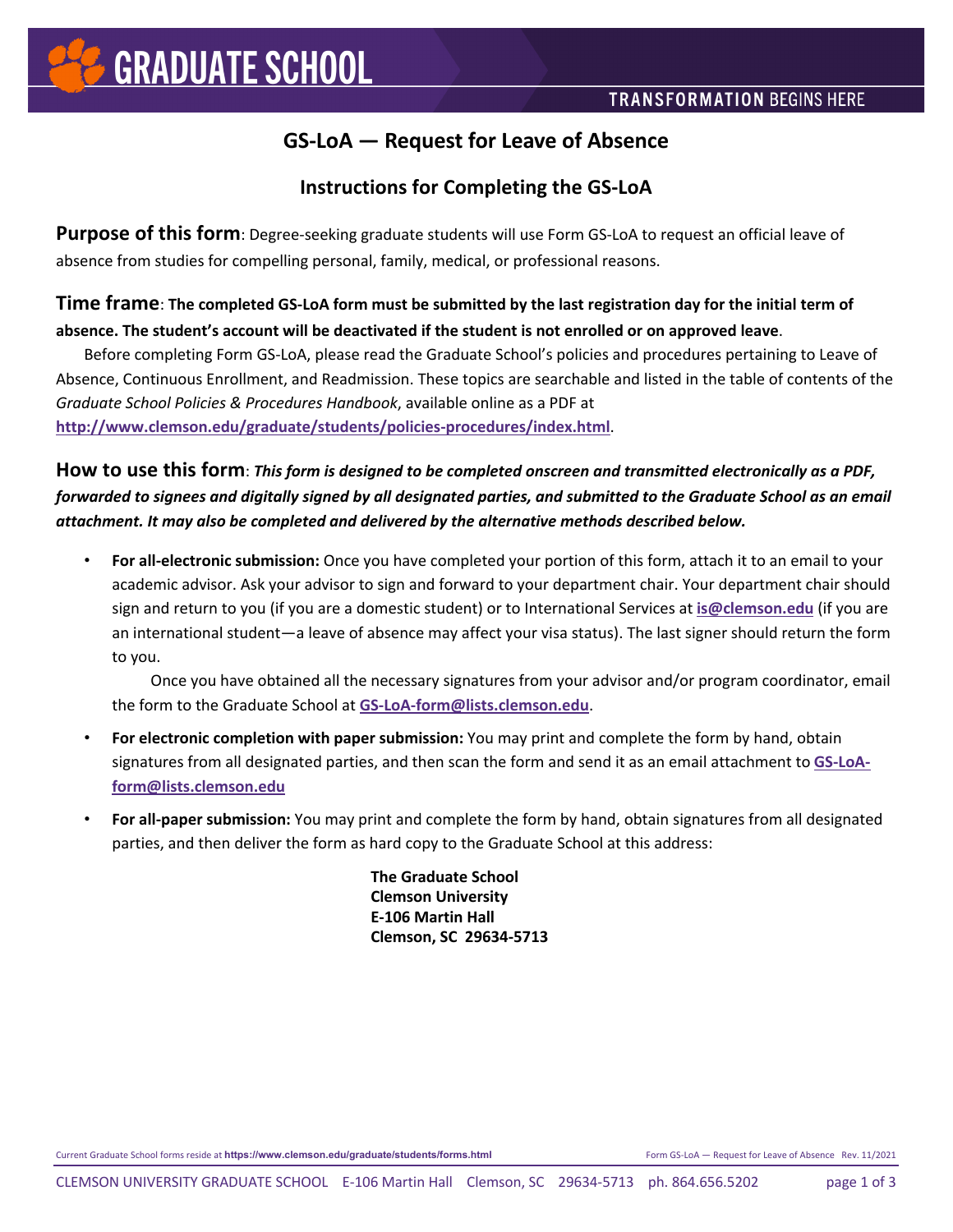### **GS-LoA — Request for Leave of Absence**

### **Instructions for Completing the GS-LoA**

**Purpose of this form**: Degree-seeking graduate students will use Form GS-LoA to request an official leave of absence from studies for compelling personal, family, medical, or professional reasons.

#### **Time frame**: **The completed GS-LoA form must be submitted by the last registration day for the initial term of absence. The student's account will be deactivated if the student is not enrolled or on approved leave**.

Before completing Form GS-LoA, please read the Graduate School's policies and procedures pertaining to Leave of Absence, Continuous Enrollment, and Readmission. These topics are searchable and listed in the table of contents of the *Graduate School Policies & Procedures Handbook*, available online as a PDF at **<http://www.clemson.edu/graduate/students/policies-procedures/index.html>**.

**How to use this form**: *This form is designed to be completed onscreen and transmitted electronically as a PDF, forwarded to signees and digitally signed by all designated parties, and submitted to the Graduate School as an email attachment. It may also be completed and delivered by the alternative methods described below.*

• **For all-electronic submission:** Once you have completed your portion of this form, attach it to an email to your academic advisor. Ask your advisor to sign and forward to your department chair. Your department chair should sign and return to you (if you are a domestic student) or to International Services at **[is@clemson.edu](mailto:is@clemson.edu?subject=Grad Student Leave of Absence signature requested)** (if you are an international student—a leave of absence may affect your visa status). The last signer should return the form to you.

 Once you have obtained all the necessary signatures from your advisor and/or program coordinator, email the form to the Graduate School at **[GS-LoA-form@lists.clemson.edu](mailto:GS-LoA-form@lists.clemson.edu?Subject=Leave%20of%20Absence%20requested)**.

- **For electronic completion with paper submission:** You may print and complete the form by hand, obtain signatures from all designated parties, and then scan the form and send it as an email attachment to **[GS-LoA](mailto:GS-LoA-form@lists.clemson.edu?Subject=Leave%20of%20Absence%20requested)[form@lists.clemson.edu](mailto:GS-LoA-form@lists.clemson.edu?Subject=Leave%20of%20Absence%20requested)**
- **For all-paper submission:** You may print and complete the form by hand, obtain signatures from all designated parties, and then deliver the form as hard copy to the Graduate School at this address:

**The Graduate School Clemson University E-106 Martin Hall Clemson, SC 29634-5713**

Current Graduate School forms reside at **https://www.clemson.edu/graduate/students/forms.html** Form GS-LoA — Request for Leave of Absence Rev. 11/2021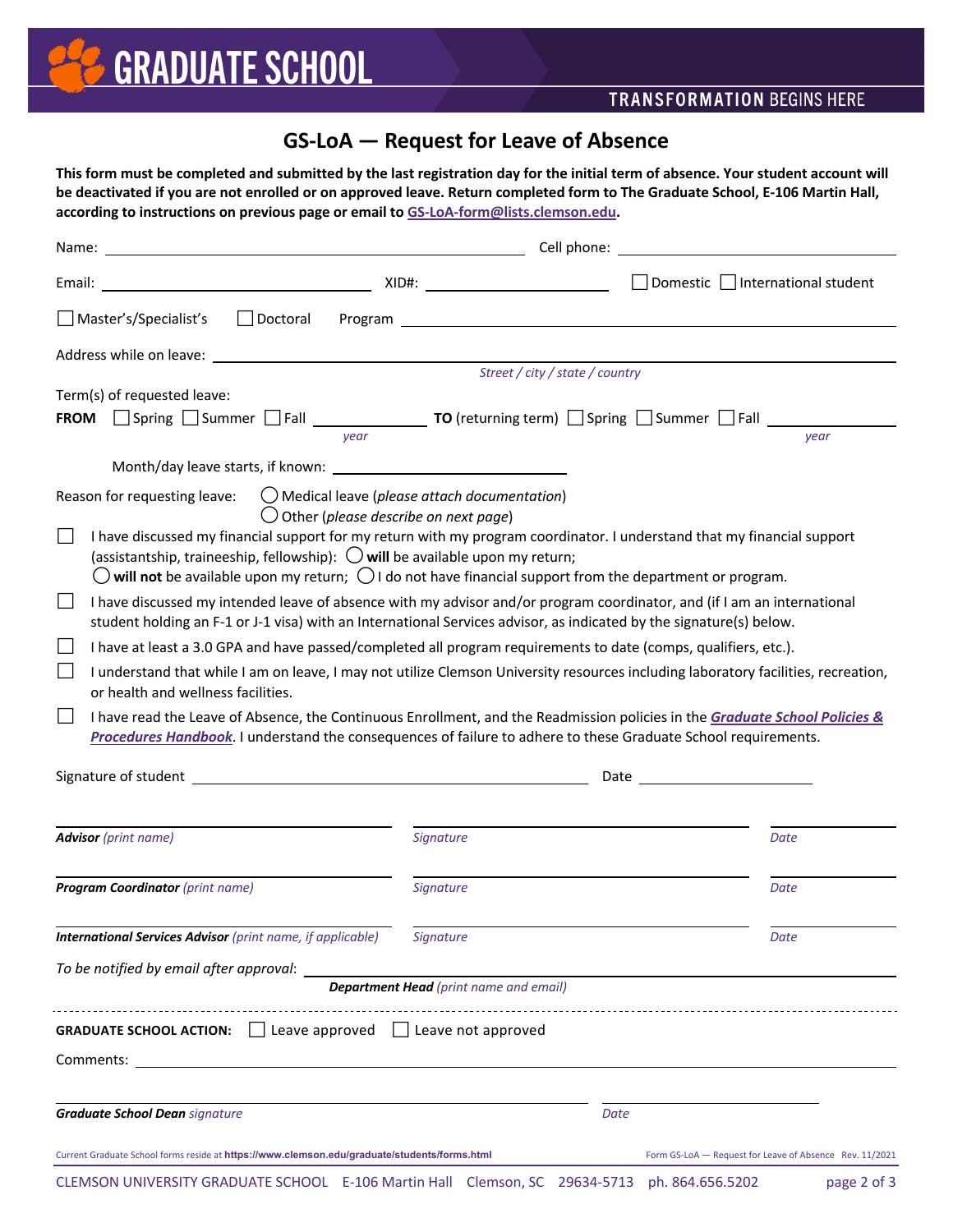# **GS-LoA — Request for Leave of Absence**

**This form must be completed and submitted by the last registration day for the initial term of absence. Your student account will be deactivated if you are not enrolled or on approved leave. Return completed form to The Graduate School, E-106 Martin Hall, according to instructions on previous page or email to [GS-LoA-form@lists.clemson.edu.](mailto:GS-LoA-form@lists.clemson.edu?Subject=Leave%20of%20Absence%20requested)**

| Name: Name: Name: Name: Name: Name: Name: Name: Name: Name: Name: Name: Name: Name: Name: Name: Name: Name: Name: Name: Name: Name: Name: Name: Name: Name: Name: Name: Name: Name: Name: Name: Name: Name: Name: Name: Name:                                                                                                                    | Cell phone: <u>contract and contract and contract and contract and contract and contract and contract of the set</u> |                                 |                                                         |
|--------------------------------------------------------------------------------------------------------------------------------------------------------------------------------------------------------------------------------------------------------------------------------------------------------------------------------------------------|----------------------------------------------------------------------------------------------------------------------|---------------------------------|---------------------------------------------------------|
|                                                                                                                                                                                                                                                                                                                                                  |                                                                                                                      |                                 |                                                         |
| Master's/Specialist's                                                                                                                                                                                                                                                                                                                            |                                                                                                                      |                                 |                                                         |
|                                                                                                                                                                                                                                                                                                                                                  |                                                                                                                      |                                 |                                                         |
|                                                                                                                                                                                                                                                                                                                                                  |                                                                                                                      | Street / city / state / country |                                                         |
| Term(s) of requested leave:                                                                                                                                                                                                                                                                                                                      |                                                                                                                      |                                 |                                                         |
| FROM Spring Summer Fall 15 Company 70 (returning term) Spring Summer Fall 15 Company Summer Fall<br>vear                                                                                                                                                                                                                                         |                                                                                                                      |                                 | vear                                                    |
|                                                                                                                                                                                                                                                                                                                                                  |                                                                                                                      |                                 |                                                         |
|                                                                                                                                                                                                                                                                                                                                                  |                                                                                                                      |                                 |                                                         |
| Reason for requesting leave:<br>$\bigcirc$ Other (please describe on next page)                                                                                                                                                                                                                                                                  | $\bigcirc$ Medical leave (please attach documentation)                                                               |                                 |                                                         |
| I have discussed my financial support for my return with my program coordinator. I understand that my financial support<br>(assistantship, traineeship, fellowship): $\bigcirc$ will be available upon my return;<br>$\bigcirc$ will not be available upon my return; $\bigcirc$ I do not have financial support from the department or program. |                                                                                                                      |                                 |                                                         |
| I have discussed my intended leave of absence with my advisor and/or program coordinator, and (if I am an international<br>$\mathsf{L}$<br>student holding an F-1 or J-1 visa) with an International Services advisor, as indicated by the signature(s) below.                                                                                   |                                                                                                                      |                                 |                                                         |
| I have at least a 3.0 GPA and have passed/completed all program requirements to date (comps, qualifiers, etc.).<br>$\Box$                                                                                                                                                                                                                        |                                                                                                                      |                                 |                                                         |
| I understand that while I am on leave, I may not utilize Clemson University resources including laboratory facilities, recreation,<br>or health and wellness facilities.                                                                                                                                                                         |                                                                                                                      |                                 |                                                         |
| I have read the Leave of Absence, the Continuous Enrollment, and the Readmission policies in the Graduate School Policies &<br>Procedures Handbook. I understand the consequences of failure to adhere to these Graduate School requirements.                                                                                                    |                                                                                                                      |                                 |                                                         |
|                                                                                                                                                                                                                                                                                                                                                  |                                                                                                                      |                                 |                                                         |
| <b>Advisor</b> (print name)                                                                                                                                                                                                                                                                                                                      | <b>Signature</b>                                                                                                     |                                 | Date                                                    |
|                                                                                                                                                                                                                                                                                                                                                  |                                                                                                                      |                                 |                                                         |
| <b>Program Coordinator</b> (print name)                                                                                                                                                                                                                                                                                                          | Signature                                                                                                            |                                 | Date                                                    |
| <b>International Services Advisor</b> (print name, if applicable)                                                                                                                                                                                                                                                                                | Signature                                                                                                            |                                 | Date                                                    |
| To be notified by email after approval:                                                                                                                                                                                                                                                                                                          |                                                                                                                      |                                 |                                                         |
|                                                                                                                                                                                                                                                                                                                                                  | <b>Department Head</b> (print name and email)                                                                        |                                 |                                                         |
| $\Box$ Leave approved $\Box$ Leave not approved<br><b>GRADUATE SCHOOL ACTION:</b>                                                                                                                                                                                                                                                                |                                                                                                                      |                                 |                                                         |
| <b>Comments:</b> Comments:                                                                                                                                                                                                                                                                                                                       |                                                                                                                      |                                 |                                                         |
|                                                                                                                                                                                                                                                                                                                                                  |                                                                                                                      |                                 |                                                         |
| <b>Graduate School Dean signature</b>                                                                                                                                                                                                                                                                                                            |                                                                                                                      | Date                            |                                                         |
| Current Graduate School forms reside at https://www.clemson.edu/graduate/students/forms.html                                                                                                                                                                                                                                                     |                                                                                                                      |                                 | Form GS-LoA - Request for Leave of Absence Rev. 11/2021 |